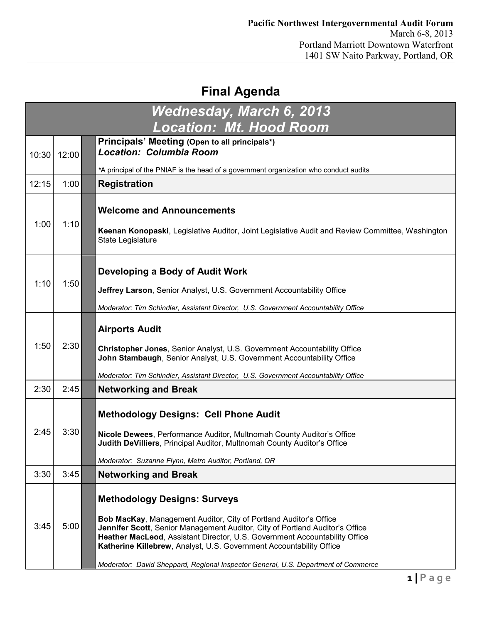| Wednesday, March 6, 2013<br><b>Location: Mt. Hood Room</b> |       |                                                                                                                                                                                                                                                                                                                                                                                                                                     |  |  |
|------------------------------------------------------------|-------|-------------------------------------------------------------------------------------------------------------------------------------------------------------------------------------------------------------------------------------------------------------------------------------------------------------------------------------------------------------------------------------------------------------------------------------|--|--|
| 10:30                                                      | 12:00 | Principals' Meeting (Open to all principals*)<br><b>Location: Columbia Room</b>                                                                                                                                                                                                                                                                                                                                                     |  |  |
|                                                            |       | *A principal of the PNIAF is the head of a government organization who conduct audits                                                                                                                                                                                                                                                                                                                                               |  |  |
| 12:15                                                      | 1:00  | <b>Registration</b>                                                                                                                                                                                                                                                                                                                                                                                                                 |  |  |
| 1:00                                                       | 1:10  | <b>Welcome and Announcements</b><br>Keenan Konopaski, Legislative Auditor, Joint Legislative Audit and Review Committee, Washington<br>State Legislature                                                                                                                                                                                                                                                                            |  |  |
| 1:10                                                       | 1:50  | Developing a Body of Audit Work<br>Jeffrey Larson, Senior Analyst, U.S. Government Accountability Office<br>Moderator: Tim Schindler, Assistant Director, U.S. Government Accountability Office                                                                                                                                                                                                                                     |  |  |
| 1:50                                                       | 2:30  | <b>Airports Audit</b><br>Christopher Jones, Senior Analyst, U.S. Government Accountability Office<br>John Stambaugh, Senior Analyst, U.S. Government Accountability Office<br>Moderator: Tim Schindler, Assistant Director, U.S. Government Accountability Office                                                                                                                                                                   |  |  |
| 2:30                                                       | 2:45  | <b>Networking and Break</b>                                                                                                                                                                                                                                                                                                                                                                                                         |  |  |
| 2:45                                                       | 3:30  | <b>Methodology Designs: Cell Phone Audit</b><br>Nicole Dewees, Performance Auditor, Multnomah County Auditor's Office<br>Judith DeVilliers, Principal Auditor, Multnomah County Auditor's Office<br>Moderator: Suzanne Flynn, Metro Auditor, Portland, OR                                                                                                                                                                           |  |  |
| 3:30                                                       | 3:45  | <b>Networking and Break</b>                                                                                                                                                                                                                                                                                                                                                                                                         |  |  |
| 3:45                                                       | 5:00  | <b>Methodology Designs: Surveys</b><br>Bob MacKay, Management Auditor, City of Portland Auditor's Office<br>Jennifer Scott, Senior Management Auditor, City of Portland Auditor's Office<br>Heather MacLeod, Assistant Director, U.S. Government Accountability Office<br>Katherine Killebrew, Analyst, U.S. Government Accountability Office<br>Moderator: David Sheppard, Regional Inspector General, U.S. Department of Commerce |  |  |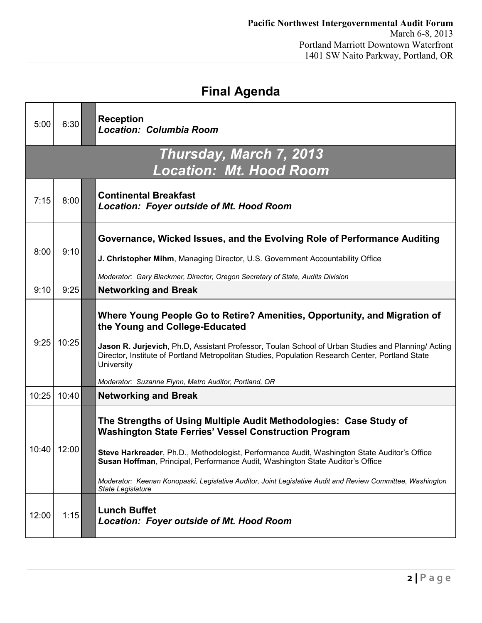| 5:00  | 6:30                                                      | <b>Reception</b><br><b>Location: Columbia Room</b>                                                                                                                                                                                                                                                                                                                                                                                                      |  |  |  |  |  |
|-------|-----------------------------------------------------------|---------------------------------------------------------------------------------------------------------------------------------------------------------------------------------------------------------------------------------------------------------------------------------------------------------------------------------------------------------------------------------------------------------------------------------------------------------|--|--|--|--|--|
|       | Thursday, March 7, 2013<br><b>Location: Mt. Hood Room</b> |                                                                                                                                                                                                                                                                                                                                                                                                                                                         |  |  |  |  |  |
| 7:15  | 8:00                                                      | <b>Continental Breakfast</b><br><b>Location: Foyer outside of Mt. Hood Room</b>                                                                                                                                                                                                                                                                                                                                                                         |  |  |  |  |  |
| 8:00  | 9:10                                                      | Governance, Wicked Issues, and the Evolving Role of Performance Auditing<br>J. Christopher Mihm, Managing Director, U.S. Government Accountability Office<br>Moderator: Gary Blackmer, Director, Oregon Secretary of State, Audits Division                                                                                                                                                                                                             |  |  |  |  |  |
| 9:10  | 9:25                                                      | <b>Networking and Break</b>                                                                                                                                                                                                                                                                                                                                                                                                                             |  |  |  |  |  |
| 9:25  | 10:25                                                     | Where Young People Go to Retire? Amenities, Opportunity, and Migration of<br>the Young and College-Educated<br>Jason R. Jurjevich, Ph.D, Assistant Professor, Toulan School of Urban Studies and Planning/Acting<br>Director, Institute of Portland Metropolitan Studies, Population Research Center, Portland State<br>University<br>Moderator: Suzanne Flynn, Metro Auditor, Portland, OR                                                             |  |  |  |  |  |
| 10:25 | 10:40                                                     | <b>Networking and Break</b>                                                                                                                                                                                                                                                                                                                                                                                                                             |  |  |  |  |  |
| 10:40 | 12:00                                                     | The Strengths of Using Multiple Audit Methodologies: Case Study of<br><b>Washington State Ferries' Vessel Construction Program</b><br>Steve Harkreader, Ph.D., Methodologist, Performance Audit, Washington State Auditor's Office<br>Susan Hoffman, Principal, Performance Audit, Washington State Auditor's Office<br>Moderator: Keenan Konopaski, Legislative Auditor, Joint Legislative Audit and Review Committee, Washington<br>State Legislature |  |  |  |  |  |
| 12:00 | 1:15                                                      | <b>Lunch Buffet</b><br><b>Location: Foyer outside of Mt. Hood Room</b>                                                                                                                                                                                                                                                                                                                                                                                  |  |  |  |  |  |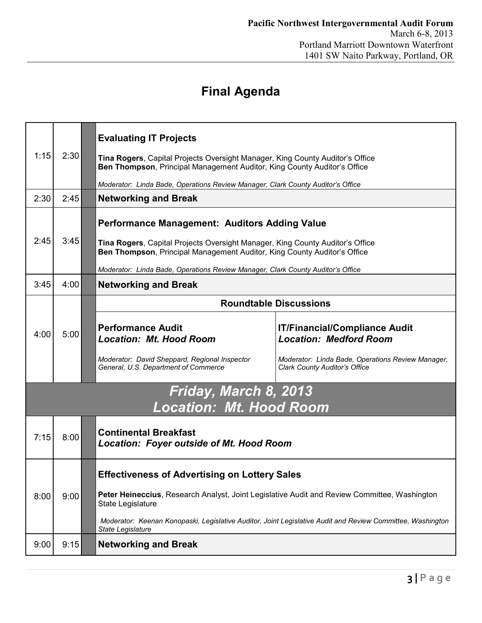| 1:15                                                    | 2:30 |  | <b>Evaluating IT Projects</b><br>Tina Rogers, Capital Projects Oversight Manager, King County Auditor's Office<br><b>Ben Thompson, Principal Management Auditor, King County Auditor's Office</b><br>Moderator: Linda Bade, Operations Review Manager, Clark County Auditor's Office                         |                                                                                                                                                                    |  |  |
|---------------------------------------------------------|------|--|--------------------------------------------------------------------------------------------------------------------------------------------------------------------------------------------------------------------------------------------------------------------------------------------------------------|--------------------------------------------------------------------------------------------------------------------------------------------------------------------|--|--|
| 2:30                                                    | 2:45 |  | <b>Networking and Break</b>                                                                                                                                                                                                                                                                                  |                                                                                                                                                                    |  |  |
| 2:45                                                    | 3:45 |  | <b>Performance Management: Auditors Adding Value</b><br>Tina Rogers, Capital Projects Oversight Manager, King County Auditor's Office<br><b>Ben Thompson, Principal Management Auditor, King County Auditor's Office</b><br>Moderator: Linda Bade, Operations Review Manager, Clark County Auditor's Office  |                                                                                                                                                                    |  |  |
| 3:45                                                    | 4:00 |  | <b>Networking and Break</b>                                                                                                                                                                                                                                                                                  |                                                                                                                                                                    |  |  |
|                                                         |      |  |                                                                                                                                                                                                                                                                                                              | <b>Roundtable Discussions</b>                                                                                                                                      |  |  |
| 4:00                                                    | 5:00 |  | <b>Performance Audit</b><br><b>Location: Mt. Hood Room</b><br>Moderator: David Sheppard, Regional Inspector<br>General, U.S. Department of Commerce                                                                                                                                                          | <b>IT/Financial/Compliance Audit</b><br><b>Location: Medford Room</b><br>Moderator: Linda Bade, Operations Review Manager,<br><b>Clark County Auditor's Office</b> |  |  |
| Friday, March 8, 2013<br><b>Location: Mt. Hood Room</b> |      |  |                                                                                                                                                                                                                                                                                                              |                                                                                                                                                                    |  |  |
| 7:15                                                    | 8:00 |  | <b>Continental Breakfast</b><br>Location: Foyer outside of Mt. Hood Room                                                                                                                                                                                                                                     |                                                                                                                                                                    |  |  |
| 8:00                                                    | 9:00 |  | <b>Effectiveness of Advertising on Lottery Sales</b><br>Peter Heineccius, Research Analyst, Joint Legislative Audit and Review Committee, Washington<br>State Legislature<br>Moderator: Keenan Konopaski, Legislative Auditor, Joint Legislative Audit and Review Committee, Washington<br>State Legislature |                                                                                                                                                                    |  |  |
| 9:00                                                    | 9:15 |  | <b>Networking and Break</b>                                                                                                                                                                                                                                                                                  |                                                                                                                                                                    |  |  |